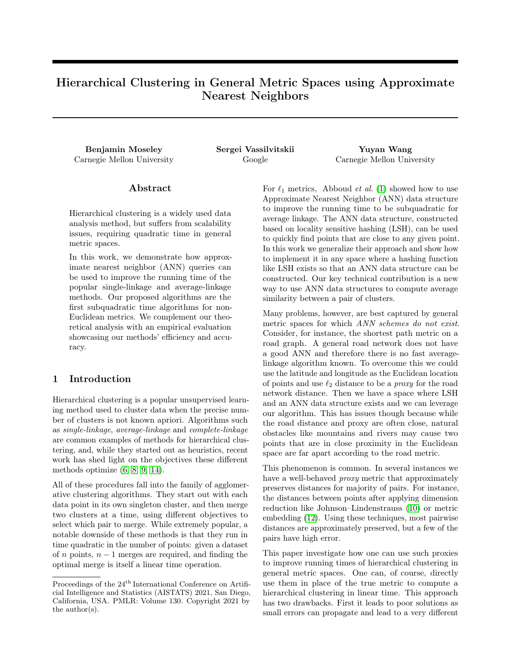# Hierarchical Clustering in General Metric Spaces using Approximate Nearest Neighbors

Benjamin Moseley Sergei Vassilvitskii Yuyan Wang

Carnegie Mellon University Google Carnegie Mellon University

# Abstract

Hierarchical clustering is a widely used data analysis method, but suffers from scalability issues, requiring quadratic time in general metric spaces.

In this work, we demonstrate how approximate nearest neighbor (ANN) queries can be used to improve the running time of the popular single-linkage and average-linkage methods. Our proposed algorithms are the first subquadratic time algorithms for non-Euclidean metrics. We complement our theoretical analysis with an empirical evaluation showcasing our methods' efficiency and accuracy.

# 1 Introduction

Hierarchical clustering is a popular unsupervised learning method used to cluster data when the precise number of clusters is not known apriori. Algorithms such as *single-linkage*, *average-linkage* and *complete-linkage* are common examples of methods for hierarchical clustering, and, while they started out as heuristics, recent work has shed light on the objectives these different methods optimize  $(6, 8, 9, 14)$ .

All of these procedures fall into the family of agglomerative clustering algorithms. They start out with each data point in its own singleton cluster, and then merge two clusters at a time, using different objectives to select which pair to merge. While extremely popular, a notable downside of these methods is that they run in time quadratic in the number of points: given a dataset of *n* points,  $n-1$  merges are required, and finding the optimal merge is itself a linear time operation.

For  $\ell_1$  metrics, Abboud *et al.* (1) showed how to use Approximate Nearest Neighbor (ANN) data structure to improve the running time to be subquadratic for average linkage. The ANN data structure, constructed based on locality sensitive hashing (LSH), can be used to quickly find points that are close to any given point. In this work we generalize their approach and show how to implement it in any space where a hashing function like LSH exists so that an ANN data structure can be constructed. Our key technical contribution is a new way to use ANN data structures to compute average similarity between a pair of clusters.

Many problems, however, are best captured by general metric spaces for which *ANN schemes do not exist*. Consider, for instance, the shortest path metric on a road graph. A general road network does not have a good ANN and therefore there is no fast averagelinkage algorithm known. To overcome this we could use the latitude and longitude as the Euclidean location of points and use  $\ell_2$  distance to be a *proxy* for the road network distance. Then we have a space where LSH and an ANN data structure exists and we can leverage our algorithm. This has issues though because while the road distance and proxy are often close, natural obstacles like mountains and rivers may cause two points that are in close proximity in the Euclidean space are far apart according to the road metric.

This phenomenon is common. In several instances we have a well-behaved *proxy* metric that approximately preserves distances for majority of pairs. For instance, the distances between points after applying dimension reduction like Johnson–Lindenstrauss (10) or metric embedding (12). Using these techniques, most pairwise distances are approximately preserved, but a few of the pairs have high error.

This paper investigate how one can use such proxies to improve running times of hierarchical clustering in general metric spaces. One can, of course, directly use them in place of the true metric to compute a hierarchical clustering in linear time. This approach has two drawbacks. First it leads to poor solutions as small errors can propagate and lead to a very different

Proceedings of the  $24^{\rm th}$  International Conference on Artificial Intelligence and Statistics (AISTATS) 2021, San Diego, California, USA. PMLR: Volume 130. Copyright 2021 by the author(s).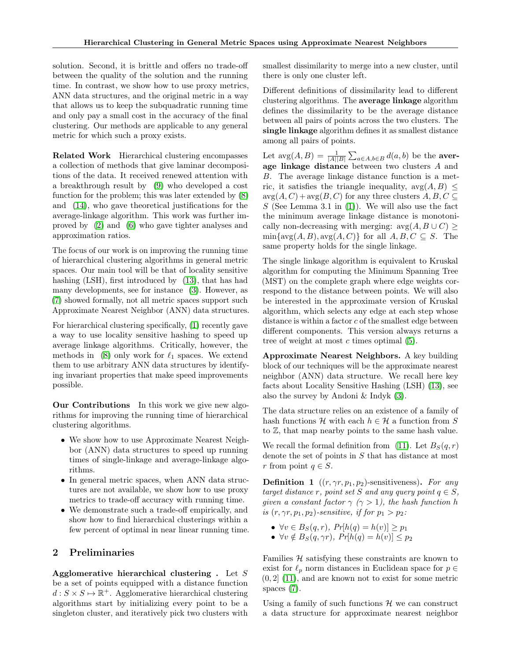solution. Second, it is brittle and offers no trade-off between the quality of the solution and the running time. In contrast, we show how to use proxy metrics, ANN data structures, and the original metric in a way that allows us to keep the subquadratic running time and only pay a small cost in the accuracy of the final clustering. Our methods are applicable to any general metric for which such a proxy exists.

Related Work Hierarchical clustering encompasses a collection of methods that give laminar decompositions of the data. It received renewed attention with a breakthrough result by  $(9)$  who developed a cost function for the problem; this was later extended by  $(8)$ and (14), who gave theoretical justifications for the average-linkage algorithm. This work was further improved by  $(2)$  and  $(6)$  who gave tighter analyses and approximation ratios.

The focus of our work is on improving the running time of hierarchical clustering algorithms in general metric spaces. Our main tool will be that of locality sensitive hashing (LSH), first introduced by  $(13)$ , that has had many developments, see for instance  $(3)$ . However, as (7) showed formally, not all metric spaces support such Approximate Nearest Neighbor (ANN) data structures.

For hierarchical clustering specifically,  $\left( \mathbf{I} \right)$  recently gave a way to use locality sensitive hashing to speed up average linkage algorithms. Critically, however, the methods in  $(8)$  only work for  $\ell_1$  spaces. We extend them to use arbitrary ANN data structures by identifying invariant properties that make speed improvements possible.

Our Contributions In this work we give new algorithms for improving the running time of hierarchical clustering algorithms.

- *•* We show how to use Approximate Nearest Neighbor (ANN) data structures to speed up running times of single-linkage and average-linkage algorithms.
- In general metric spaces, when ANN data structures are not available, we show how to use proxy metrics to trade-off accuracy with running time.
- *•* We demonstrate such a trade-off empirically, and show how to find hierarchical clusterings within a few percent of optimal in near linear running time.

# 2 Preliminaries

Agglomerative hierarchical clustering . Let *S* be a set of points equipped with a distance function  $d : S \times S \mapsto \mathbb{R}^+$ . Agglomerative hierarchical clustering algorithms start by initializing every point to be a singleton cluster, and iteratively pick two clusters with smallest dissimilarity to merge into a new cluster, until there is only one cluster left.

Different definitions of dissimilarity lead to different clustering algorithms. The average linkage algorithm defines the dissimilarity to be the average distance between all pairs of points across the two clusters. The single linkage algorithm defines it as smallest distance among all pairs of points.

Let  $\arg(A, B) = \frac{1}{|A||B|} \sum_{a \in A, b \in B} d(a, b)$  be the **aver**age linkage distance between two clusters *A* and *B*. The average linkage distance function is a metric, it satisfies the triangle inequality,  $\arg(A, B) \leq$  $\arg(A, C) + \arg(B, C)$  for any three clusters  $A, B, C \subseteq$ *S* (See Lemma 3.1 in  $(1)$ ). We will also use the fact the minimum average linkage distance is monotonically non-decreasing with merging:  $\arg(A, B \cup C)$  $\min{\{ \text{avg}(A, B), \text{avg}(A, C) \}}$  for all  $A, B, C \subseteq S$ . The same property holds for the single linkage.

The single linkage algorithm is equivalent to Kruskal algorithm for computing the Minimum Spanning Tree (MST) on the complete graph where edge weights correspond to the distance between points. We will also be interested in the approximate version of Kruskal algorithm, which selects any edge at each step whose distance is within a factor *c* of the smallest edge between different components. This version always returns a tree of weight at most  $c$  times optimal  $(5)$ .

Approximate Nearest Neighbors. A key building block of our techniques will be the approximate nearest neighbor (ANN) data structure. We recall here key facts about Locality Sensitive Hashing  $(LSH)$   $(13)$ , see also the survey by Andoni  $\&$  Indyk  $\langle 3 \rangle$ .

The data structure relies on an existence of a family of hash functions  $\mathcal{H}$  with each  $h \in \mathcal{H}$  a function from *S* to Z, that map nearby points to the same hash value.

We recall the formal definition from  $(11)$ . Let  $B_S(q, r)$ denote the set of points in *S* that has distance at most *r* from point  $q \in S$ .

**Definition 1** ( $(r, \gamma r, p_1, p_2)$ -sensitiveness). For any *target distance r, point set S and any query point*  $q \in S$ *, given a constant factor*  $\gamma$  ( $\gamma > 1$ ), the hash function h *is*  $(r, \gamma r, p_1, p_2)$ *-sensitive, if for*  $p_1 > p_2$ *:* 

- $\forall v \in B_S(q, r)$ ,  $Pr[h(q) = h(v)] \geq p_1$
- $\forall v \notin B_S(q, \gamma r)$ ,  $Pr[h(q) = h(v)] \leq p_2$

Families *H* satisfying these constraints are known to exist for  $\ell_p$  norm distances in Euclidean space for  $p \in$  $(0, 2)$   $(11)$ , and are known not to exist for some metric spaces  $(7)$ .

Using a family of such functions  $\mathcal{H}$  we can construct a data structure for approximate nearest neighbor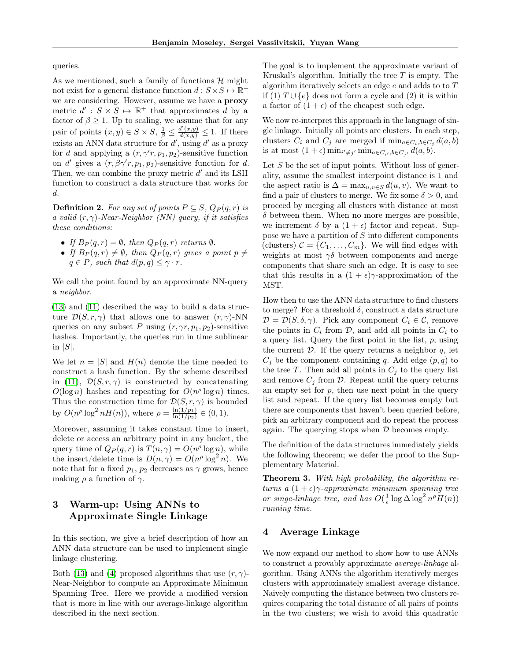queries.

As we mentioned, such a family of functions *H* might not exist for a general distance function  $d : S \times S \mapsto \mathbb{R}^+$ we are considering. However, assume we have a proxy metric  $d' : S \times S \mapsto \mathbb{R}^+$  that approximates *d* by a factor of  $\beta \geq 1$ . Up to scaling, we assume that for any pair of points  $(x, y) \in S \times S$ ,  $\frac{1}{\beta} \leq \frac{d'(x, y)}{d(x, y)} \leq 1$ . If there exists an ANN data structure for  $d'$ , using  $d'$  as a proxy for *d* and applying a  $(r, \gamma' r, p_1, p_2)$ -sensitive function on *d'* gives a  $(r, \beta\gamma' r, p_1, p_2)$ -sensitive function for *d*. Then, we can combine the proxy metric  $d'$  and its LSH function to construct a data structure that works for *d*.

**Definition 2.** For any set of points  $P \subseteq S$ ,  $Q_P(q, r)$  is *a valid*  $(r, \gamma)$ -Near-Neighbor *(NN)* query, if it satisfies *these conditions:*

- If  $B_P(q,r) = \emptyset$ , then  $Q_P(q,r)$  returns  $\emptyset$ .
- If  $B_P(q,r) \neq \emptyset$ , then  $Q_P(q,r)$  gives a point  $p \neq$  $q \in P$ *, such that*  $d(p, q) \leq \gamma \cdot r$ *.*

We call the point found by an approximate NN-query a *neighbor*.

(13) and (11) described the way to build a data structure  $\mathcal{D}(S,r,\gamma)$  that allows one to answer  $(r,\gamma)$ -NN queries on any subset *P* using  $(r, \gamma r, p_1, p_2)$ -sensitive hashes. Importantly, the queries run in time sublinear in  $|S|$ .

We let  $n = |S|$  and  $H(n)$  denote the time needed to construct a hash function. By the scheme described in  $\Box$ ,  $\mathcal{D}(S, r, \gamma)$  is constructed by concatenating  $O(\log n)$  hashes and repeating for  $O(n^{\rho} \log n)$  times. Thus the construction time for  $\mathcal{D}(S,r,\gamma)$  is bounded by  $O(n^{\rho} \log^2 n H(n))$ , where  $\rho = \frac{\ln(1/p_1)}{\ln(1/p_2)} \in (0, 1)$ .

Moreover, assuming it takes constant time to insert, delete or access an arbitrary point in any bucket, the query time of  $Q_P(q,r)$  is  $T(n,\gamma) = O(n^{\rho} \log n)$ , while the insert/delete time is  $D(n, \gamma) = O(n^{\rho} \log^2 n)$ . We note that for a fixed  $p_1$ ,  $p_2$  decreases as  $\gamma$  grows, hence making  $\rho$  a function of  $\gamma$ .

# 3 Warm-up: Using ANNs to Approximate Single Linkage

In this section, we give a brief description of how an ANN data structure can be used to implement single linkage clustering.

Both  $(13)$  and  $(4)$  proposed algorithms that use  $(r, \gamma)$ -Near-Neighbor to compute an Approximate Minimum Spanning Tree. Here we provide a modified version that is more in line with our average-linkage algorithm described in the next section.

The goal is to implement the approximate variant of Kruskal's algorithm. Initially the tree *T* is empty. The algorithm iteratively selects an edge *e* and adds to to *T* if (1)  $T \cup \{e\}$  does not form a cycle and (2) it is within a factor of  $(1 + \epsilon)$  of the cheapest such edge.

We now re-interpret this approach in the language of single linkage. Initially all points are clusters. In each step, clusters  $C_i$  and  $C_j$  are merged if  $\min_{a \in C_i, b \in C_j} d(a, b)$ is at most  $(1 + \epsilon) \min_{i' \neq j'} \min_{a \in C_{i'}, b \in C_{j'}} d(a, b).$ 

Let *S* be the set of input points. Without loss of generality, assume the smallest interpoint distance is 1 and the aspect ratio is  $\Delta = \max_{u,v \in S} d(u,v)$ . We want to find a pair of clusters to merge. We fix some  $\delta > 0$ , and proceed by merging all clusters with distance at most  $\delta$  between them. When no more merges are possible, we increment  $\delta$  by a  $(1 + \epsilon)$  factor and repeat. Suppose we have a partition of *S* into different components (clusters)  $C = \{C_1, \ldots, C_m\}$ . We will find edges with weights at most  $\gamma\delta$  between components and merge components that share such an edge. It is easy to see that this results in a  $(1 + \epsilon)\gamma$ -approximation of the MST.

How then to use the ANN data structure to find clusters to merge? For a threshold  $\delta$ , construct a data structure  $\mathcal{D} = \mathcal{D}(S, \delta, \gamma)$ . Pick any component  $C_i \in \mathcal{C}$ , remove the points in  $C_i$  from  $D$ , and add all points in  $C_i$  to a query list. Query the first point in the list, *p*, using the current  $D$ . If the query returns a neighbor  $q$ , let  $C_i$  be the component containing *q*. Add edge  $(p, q)$  to the tree *T*. Then add all points in  $C_j$  to the query list and remove  $C_i$  from  $D$ . Repeat until the query returns an empty set for  $p$ , then use next point in the query list and repeat. If the query list becomes empty but there are components that haven't been queried before, pick an arbitrary component and do repeat the process again. The querying stops when *D* becomes empty.

The definition of the data structures immediately yields the following theorem; we defer the proof to the Supplementary Material.

Theorem 3. *With high probability, the algorithm returns a*  $(1+\epsilon)\gamma$ -*approximate minimum spanning tree or singe-linkage tree, and has*  $O(\frac{1}{\epsilon} \log \Delta \log^2 n^{\rho} H(n))$ *running time.*

## 4 Average Linkage

We now expand our method to show how to use ANNs to construct a provably approximate *average-linkage* algorithm. Using ANNs the algorithm iteratively merges clusters with approximately smallest average distance. Naively computing the distance between two clusters requires comparing the total distance of all pairs of points in the two clusters; we wish to avoid this quadratic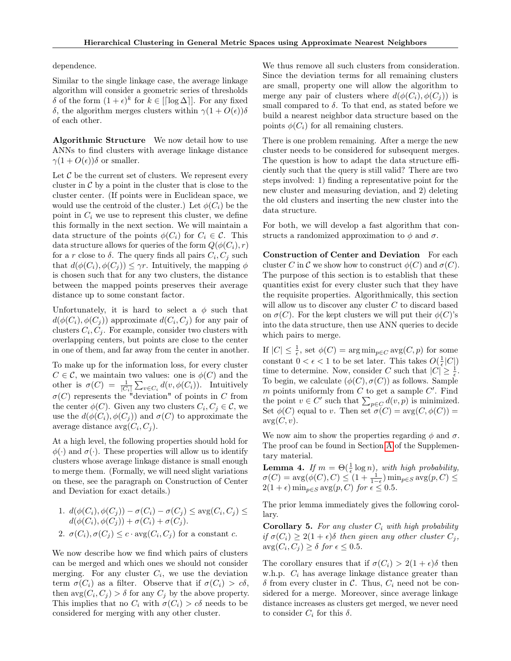dependence.

Similar to the single linkage case, the average linkage algorithm will consider a geometric series of thresholds  $\delta$  of the form  $(1+\epsilon)^k$  for  $k \in [\log \Delta]$ . For any fixed  $\delta$ , the algorithm merges clusters within  $\gamma(1 + O(\epsilon))\delta$ of each other.

Algorithmic Structure We now detail how to use ANNs to find clusters with average linkage distance  $\gamma(1 + O(\epsilon))\delta$  or smaller.

Let  $C$  be the current set of clusters. We represent every cluster in  $\mathcal C$  by a point in the cluster that is close to the cluster center. (If points were in Euclidean space, we would use the centroid of the cluster.) Let  $\phi(C_i)$  be the point in  $C_i$  we use to represent this cluster, we define this formally in the next section. We will maintain a data structure of the points  $\phi(C_i)$  for  $C_i \in \mathcal{C}$ . This data structure allows for queries of the form  $Q(\phi(C_i), r)$ for a *r* close to  $\delta$ . The query finds all pairs  $C_i, C_j$  such that  $d(\phi(C_i), \phi(C_j)) \leq \gamma r$ . Intuitively, the mapping  $\phi$ is chosen such that for any two clusters, the distance between the mapped points preserves their average distance up to some constant factor.

Unfortunately, it is hard to select a  $\phi$  such that  $d(\phi(C_i), \phi(C_j))$  approximate  $d(C_i, C_j)$  for any pair of clusters  $C_i$ ,  $C_j$ . For example, consider two clusters with overlapping centers, but points are close to the center in one of them, and far away from the center in another.

To make up for the information loss, for every cluster  $C \in \mathcal{C}$ , we maintain two values: one is  $\phi(C)$  and the other is  $\sigma(C) = \frac{1}{|C_i|} \sum_{v \in C_i} d(v, \phi(C_i))$ . Intuitively  $\sigma(C)$  represents the "deviation" of points in *C* from the center  $\phi(C)$ . Given any two clusters  $C_i, C_j \in \mathcal{C}$ , we use the  $d(\phi(C_i), \phi(C_j))$  and  $\sigma(C)$  to approximate the average distance  $\arg(C_i, C_j)$ .

At a high level, the following properties should hold for  $\phi(\cdot)$  and  $\sigma(\cdot)$ . These properties will allow us to identify clusters whose average linkage distance is small enough to merge them. (Formally, we will need slight variations on these, see the paragraph on Construction of Center and Deviation for exact details.)

1. 
$$
d(\phi(C_i), \phi(C_j)) - \sigma(C_i) - \sigma(C_j) \le \text{avg}(C_i, C_j) \le d(\phi(C_i), \phi(C_j)) + \sigma(C_i) + \sigma(C_j).
$$

2. 
$$
\sigma(C_i), \sigma(C_j) \leq c \cdot \text{avg}(C_i, C_j)
$$
 for a constant c.

We now describe how we find which pairs of clusters can be merged and which ones we should not consider merging. For any cluster  $C_i$ , we use the deviation term  $\sigma(C_i)$  as a filter. Observe that if  $\sigma(C_i) > c\delta$ , then  $\arg(C_i, C_j) > \delta$  for any  $C_j$  by the above property. This implies that no  $C_i$  with  $\sigma(C_i) > c\delta$  needs to be considered for merging with any other cluster.

We thus remove all such clusters from consideration. Since the deviation terms for all remaining clusters are small, property one will allow the algorithm to merge any pair of clusters where  $d(\phi(C_i), \phi(C_i))$  is small compared to  $\delta$ . To that end, as stated before we build a nearest neighbor data structure based on the points  $\phi(C_i)$  for all remaining clusters.

There is one problem remaining. After a merge the new cluster needs to be considered for subsequent merges. The question is how to adapt the data structure efficiently such that the query is still valid? There are two steps involved: 1) finding a representative point for the new cluster and measuring deviation, and 2) deleting the old clusters and inserting the new cluster into the data structure.

For both, we will develop a fast algorithm that constructs a randomized approximation to  $\phi$  and  $\sigma$ .

Construction of Center and Deviation For each cluster *C* in *C* we show how to construct  $\phi(C)$  and  $\sigma(C)$ . The purpose of this section is to establish that these quantities exist for every cluster such that they have the requisite properties. Algorithmically, this section will allow us to discover any cluster *C* to discard based on  $\sigma(C)$ . For the kept clusters we will put their  $\phi(C)$ 's into the data structure, then use ANN queries to decide which pairs to merge.

If  $|C| \leq \frac{1}{\epsilon}$ , set  $\phi(C) = \arg \min_{p \in C} \arg(C, p)$  for some constant  $0 < \epsilon < 1$  to be set later. This takes  $O(\frac{1}{\epsilon}|C|)$ time to determine. Now, consider *C* such that  $|C| \geq \frac{1}{\epsilon}$ . To begin, we calculate  $(\phi(C), \sigma(C))$  as follows. Sample *m* points uniformly from  $C$  to get a sample  $C'$ . Find the point  $v \in C'$  such that  $\sum_{p \in C} d(v, p)$  is minimized. Set  $\phi(C)$  equal to *v*. Then set  $\sigma(C) = \text{avg}(C, \phi(C))$  $\arg(C, v)$ .

We now aim to show the properties regarding  $\phi$  and  $\sigma$ . The proof can be found in Section  $\overline{A}$  of the Supplementary material.

**Lemma 4.** *If*  $m = \Theta(\frac{1}{\epsilon} \log n)$ , with high probability,  $\sigma(C) = \arg(\phi(C), C) \leq (1 + \frac{1}{1-\epsilon}) \min_{p \in S} \arg(p, C) \leq$  $2(1+\epsilon)\min_{p\in S} \arg(p, C)$  *for*  $\epsilon \leq 0.5$ *.* 

The prior lemma immediately gives the following corollary.

Corollary 5. *For any cluster C<sup>i</sup> with high probability if*  $\sigma(C_i) \geq 2(1 + \epsilon)\delta$  *then given any other cluster*  $C_i$ ,  $\arg(C_i, C_j) \geq \delta$  for  $\epsilon \leq 0.5$ *.* 

The corollary ensures that if  $\sigma(C_i) > 2(1 + \epsilon)\delta$  then w.h.p. *C<sup>i</sup>* has average linkage distance greater than  $\delta$  from every cluster in C. Thus,  $C_i$  need not be considered for a merge. Moreover, since average linkage distance increases as clusters get merged, we never need to consider  $C_i$  for this  $\delta$ .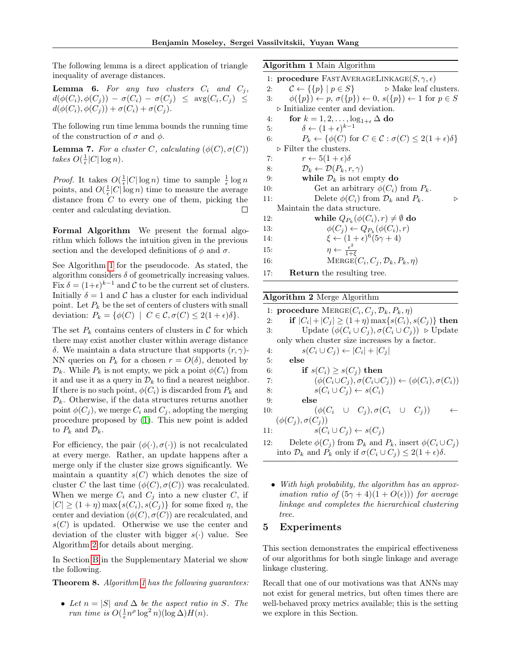The following lemma is a direct application of triangle inequality of average distances.

**Lemma 6.** For any two clusters  $C_i$  and  $C_j$ ,  $d(\phi(C_i), \phi(C_j)) - \sigma(C_i) - \sigma(C_j) \leq \arg(C_i, C_j) \leq$  $d(\phi(C_i), \phi(C_j)) + \sigma(C_i) + \sigma(C_j).$ 

The following run time lemma bounds the running time of the construction of  $\sigma$  and  $\phi$ .

**Lemma 7.** For a cluster C, calculating  $(\phi(C), \sigma(C))$ *takes*  $O(\frac{1}{\epsilon}|C|\log n)$ *.* 

*Proof.* It takes  $O(\frac{1}{\epsilon}|C|\log n)$  time to sample  $\frac{1}{\epsilon}\log n$ points, and  $O(\frac{1}{\epsilon}|C|\log n)$  time to measure the average distance from *C* to every one of them, picking the center and calculating deviation.  $\Box$ 

Formal Algorithm We present the formal algorithm which follows the intuition given in the previous section and the developed definitions of  $\phi$  and  $\sigma$ .

See Algorithm  $\boxed{1}$  for the pseudocode. As stated, the algorithm considers  $\delta$  of geometrically increasing values. Fix  $\delta = (1+\epsilon)^{k-1}$  and C to be the current set of clusters. Initially  $\delta = 1$  and  $\mathcal C$  has a cluster for each individual point. Let  $P_k$  be the set of centers of clusters with small deviation:  $P_k = \{ \phi(C) \mid C \in \mathcal{C}, \sigma(C) \leq 2(1+\epsilon)\delta \}.$ 

The set  $P_k$  contains centers of clusters in  $\mathcal C$  for which there may exist another cluster within average distance  $\delta$ . We maintain a data structure that supports  $(r, \gamma)$ -NN queries on  $P_k$  for a chosen  $r = O(\delta)$ , denoted by  $\mathcal{D}_k$ . While  $P_k$  is not empty, we pick a point  $\phi(C_i)$  from it and use it as a query in  $\mathcal{D}_k$  to find a nearest neighbor. If there is no such point,  $\phi(C_i)$  is discarded from  $P_k$  and  $\mathcal{D}_k$ . Otherwise, if the data structures returns another point  $\phi(C_j)$ , we merge  $C_i$  and  $C_j$ , adopting the merging procedure proposed by  $(1)$ . This new point is added to  $P_k$  and  $\mathcal{D}_k$ .

For efficiency, the pair  $(\phi(\cdot), \sigma(\cdot))$  is not recalculated at every merge. Rather, an update happens after a merge only if the cluster size grows significantly. We maintain a quantity  $s(C)$  which denotes the size of cluster *C* the last time  $(\phi(C), \sigma(C))$  was recalculated. When we merge  $C_i$  and  $C_j$  into a new cluster  $C$ , if  $|C| \geq (1 + \eta) \max\{s(C_i), s(C_j)\}\$ for some fixed  $\eta$ , the center and deviation  $(\phi(C), \sigma(C))$  are recalculated, and  $s(C)$  is updated. Otherwise we use the center and deviation of the cluster with bigger *s*(*·*) value. See Algorithm  $\boxed{2}$  for details about merging.

In Section  $\boxed{B}$  in the Supplementary Material we show the following.

Theorem 8. *Algorithm 1 has the following guarantees:*

• Let  $n = |S|$  and  $\Delta$  be the aspect ratio in *S.* The *run time is*  $O(\frac{1}{\epsilon}n^{\rho} \log^2 n)(\log \Delta)H(n)$ *.* 

Algorithm 1 Main Algorithm

1: procedure FASTAVERAGELINKAGE $(S, \gamma, \epsilon)$ 2:  $\mathcal{C} \leftarrow \{\{p\} \mid p \in S\}$  b Make leaf clusters.<br>3:  $\phi(\{p\}) \leftarrow p, \sigma(\{p\}) \leftarrow 0, s(\{p\}) \leftarrow 1 \text{ for } p \in S$  $\phi(\lbrace p \rbrace) \leftarrow p$ ,  $\sigma(\lbrace p \rbrace) \leftarrow 0$ ,  $s(\lbrace p \rbrace) \leftarrow 1$  for  $p \in S$  $\triangleright$  Initialize center and deviation. 4: **for**  $k = 1, 2, ..., \log_{1+\epsilon} \Delta$  **do**<br>5:  $\delta \leftarrow (1+\epsilon)^{k-1}$ 5:  $\delta \leftarrow (1 + \epsilon)^{k-1}$ <br>6:  $P_k \leftarrow {\phi(C) \text{ for}}$  $P_k \leftarrow \{\phi(C) \text{ for } C \in \mathcal{C} : \sigma(C) \leq 2(1+\epsilon)\delta\}$  $\triangleright$  Filter the clusters. 7:  $r \leftarrow 5(1+\epsilon)\delta$ <br>8:  $\mathcal{D}_k \leftarrow \mathcal{D}(P_k, r)$ 8:  $\mathcal{D}_k \leftarrow \mathcal{D}(P_k, r, \gamma)$ <br>9: **while**  $\mathcal{D}_k$  is not 9: **while**  $\mathcal{D}_k$  is not empty **do**<br>10: Get an arbitrary  $\phi(C_i)$ Get an arbitrary  $\phi(C_i)$  from  $P_k$ . 11: Delete  $\phi(C_i)$  from  $\mathcal{D}_k$  and  $P_k$ .  $\triangleright$ Maintain the data structure. 12: **while**  $Q_{P_k}(\phi(C_i), r) \neq \emptyset$  do<br>
13:  $\phi(C_i) \leftarrow Q_{P_k}(\phi(C_i), r)$ 13:  $\phi(C_j) \leftarrow Q_{P_k}(\phi(C_i), r)$ <br>
14:  $\xi \leftarrow (1+\epsilon)^6 (5\gamma + 4)$ 14:  $\xi \leftarrow (1 + \epsilon)^6 (5\gamma + 4)$ 15:  $\eta \leftarrow \frac{\epsilon^2}{1+\xi}$ 16: MERGE $(C_i, C_j, \mathcal{D}_k, P_k, \eta)$ 17: Return the resulting tree.

#### Algorithm 2 Merge Algorithm

1: **procedure** MERGE( $C_i$ ,  $C_j$ ,  $\mathcal{D}_k$ ,  $P_k$ ,  $\eta$ )<br>2: **if**  $|C_i| + |C_j| \ge (1 + \eta) \max\{s(C_i),\}$ 2: if  $|C_i| + |C_j| \ge (1 + \eta) \max\{s(C_i), s(C_j)\}\)$  then<br>3: Update  $(\phi(C_i \cup C_j), \sigma(C_i \cup C_j)) \ge \text{Update}$ Update  $(\phi(C_i \cup C_j), \sigma(C_i \cup C_j))$   $\triangleright$  Update only when cluster size increases by a factor. 4:  $s(C_i \cup C_j) \leftarrow |C_i| + |C_j|$ <br>5: **else** 5: else 6: **if**  $s(C_i) \geq s(C_j)$  then<br>7:  $(\phi(C_i \cup C_j), \sigma(C_i \cup C_j))$ 7:  $(\phi(C_i \cup C_j), \sigma(C_i \cup C_j)) \leftarrow (\phi(C_i), \sigma(C_i))$ <br>8:  $s(C_i \cup C_j) \leftarrow s(C_i)$ 8:  $s(C_i \cup C_j) \leftarrow s(C_i)$ <br>9: **else** else 10:  $(\phi(C_i \cup C_j), \sigma(C_i \cup C_j)) \leftarrow$  $(\phi(C_j), \sigma(C_j))$ 11:  $s(C_i \cup C_j) \leftarrow s(C_j)$ 12: Delete  $\phi(C_i)$  from  $\mathcal{D}_i$  and  $P_i$  insert  $\phi(C_i \cup C_i)$ 

12: **Delete** 
$$
\varphi(C_j)
$$
 from  $\nu_k$  and  $P_k$ , insert  $\varphi(C_i \cup C_j)$   
into  $\mathcal{D}_k$  and  $P_k$  only if  $\sigma(C_i \cup C_j) \leq 2(1+\epsilon)\delta$ .

*• With high probability, the algorithm has an approximation ratio of*  $(5\gamma + 4)(1 + O(\epsilon))$  *for average linkage and completes the hierarchical clustering tree.*

### 5 Experiments

This section demonstrates the empirical effectiveness of our algorithms for both single linkage and average linkage clustering.

Recall that one of our motivations was that ANNs may not exist for general metrics, but often times there are well-behaved proxy metrics available; this is the setting we explore in this Section.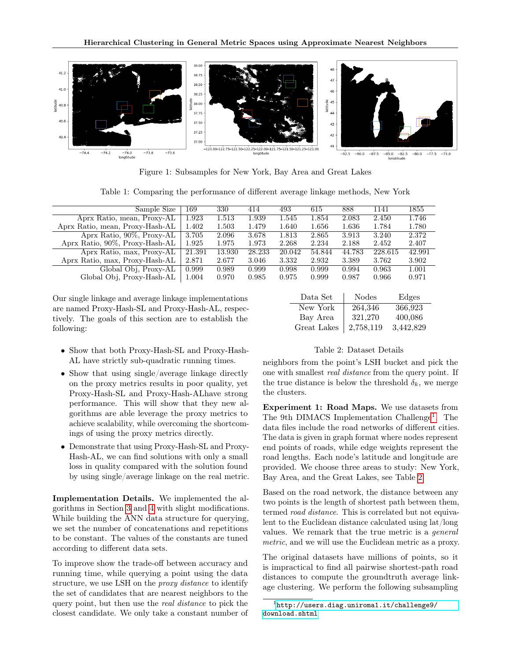

Figure 1: Subsamples for New York, Bay Area and Great Lakes

Table 1: Comparing the performance of different average linkage methods, New York

| Sample Size                     | 169    | 330    | 414    | 493    | 615    | 888    | 1141    | 1855   |
|---------------------------------|--------|--------|--------|--------|--------|--------|---------|--------|
| Aprx Ratio, mean, Proxy-AL      | 1.923  | 1.513  | 1.939  | 1.545  | 1.854  | 2.083  | 2.450   | 1.746  |
| Aprx Ratio, mean, Proxy-Hash-AL | 1.402  | 1.503  | 1.479  | 1.640  | 1.656  | 1.636  | 1.784   | 1.780  |
| Aprx Ratio, $90\%$ , Proxy-AL   | 3.705  | 2.096  | 3.678  | 1.813  | 2.865  | 3.913  | 3.240   | 2.372  |
| Aprx Ratio, 90%, Proxy-Hash-AL  | 1.925  | 1.975  | 1.973  | 2.268  | 2.234  | 2.188  | 2.452   | 2.407  |
| Aprx Ratio, max, Proxy-AL       | 21.391 | 13.930 | 28.233 | 20.042 | 54.844 | 44.783 | 228.615 | 42.991 |
| Aprx Ratio, max, Proxy-Hash-AL  | 2.871  | 2.677  | 3.046  | 3.332  | 2.932  | 3.389  | 3.762   | 3.902  |
| Global Obj, Proxy-AL            | 0.999  | 0.989  | 0.999  | 0.998  | 0.999  | 0.994  | 0.963   | 1.001  |
| Global Obj, Proxy-Hash-AL       | 1.004  | 0.970  | 0.985  | 0.975  | 0.999  | 0.987  | 0.966   | 0.971  |

Our single linkage and average linkage implementations are named Proxy-Hash-SL and Proxy-Hash-AL, respectively. The goals of this section are to establish the following:

- *•* Show that both Proxy-Hash-SL and Proxy-Hash-AL have strictly sub-quadratic running times.
- Show that using single/average linkage directly on the proxy metrics results in poor quality, yet Proxy-Hash-SL and Proxy-Hash-ALhave strong performance. This will show that they new algorithms are able leverage the proxy metrics to achieve scalability, while overcoming the shortcomings of using the proxy metrics directly.
- *•* Demonstrate that using Proxy-Hash-SL and Proxy-Hash-AL, we can find solutions with only a small loss in quality compared with the solution found by using single/average linkage on the real metric.

Implementation Details. We implemented the algorithms in Section  $3$  and  $4$  with slight modifications. While building the  $\overline{ANN}$  data structure for querying, we set the number of concatenations and repetitions to be constant. The values of the constants are tuned according to different data sets.

To improve show the trade-off between accuracy and running time, while querying a point using the data structure, we use LSH on the *proxy distance* to identify the set of candidates that are nearest neighbors to the query point, but then use the *real distance* to pick the closest candidate. We only take a constant number of

| Data Set    | <b>Nodes</b> | Edges     |
|-------------|--------------|-----------|
| New York    | 264,346      | 366,923   |
| Bay Area    | 321,270      | 400,086   |
| Great Lakes | 2,758,119    | 3,442,829 |

#### Table 2: Dataset Details

neighbors from the point's LSH bucket and pick the one with smallest *real distance* from the query point. If the true distance is below the threshold  $\delta_k$ , we merge the clusters.

Experiment 1: Road Maps. We use datasets from The 9th DIMACS Implementation Challenge<sup>1</sup>. The data files include the road networks of different cities. The data is given in graph format where nodes represent end points of roads, while edge weights represent the road lengths. Each node's latitude and longitude are provided. We choose three areas to study: New York, Bay Area, and the Great Lakes, see Table 2.

Based on the road network, the distance between any two points is the length of shortest path between them, termed *road distance*. This is correlated but not equivalent to the Euclidean distance calculated using lat/long values. We remark that the true metric is a *general metric*, and we will use the Euclidean metric as a proxy.

The original datasets have millions of points, so it is impractical to find all pairwise shortest-path road distances to compute the groundtruth average linkage clustering. We perform the following subsampling

<sup>1</sup>http://users.diag.uniroma1.it/challenge9/ download.shtml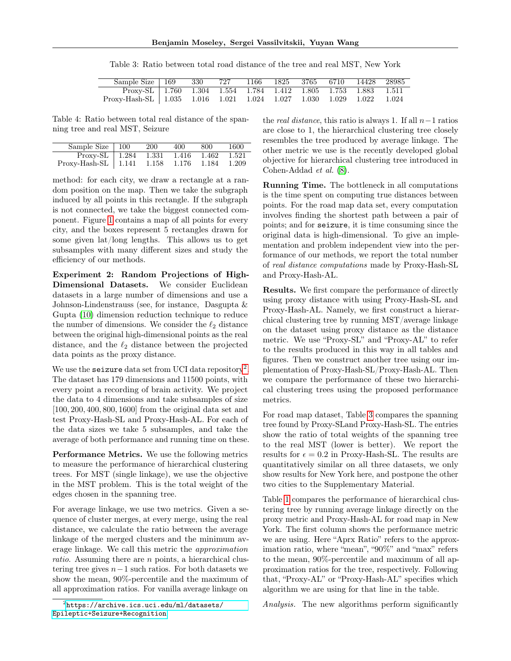Sample Size 169 330 727 1166 1825 3765 6710 14428 28985 Proxy-SL 1.760 1.304 1.554 1.784 1.412 1.805 1.753 1.883 1.511 Proxy-Hash-SL 1.035 1.016 1.021 1.024 1.027 1.030 1.029 1.022 1.024

Table 3: Ratio between total road distance of the tree and real MST, New York

Table 4: Ratio between total real distance of the spanning tree and real MST, Seizure

| Sample Size $\vert$ 100                               | 200 | 400 | 800 | 1600    |
|-------------------------------------------------------|-----|-----|-----|---------|
| Proxy-SL   $1.284$ $1.\overline{331}$ $1.416$ $1.462$ |     |     |     | - 1.521 |
| $Proxy-Hash-SL$   1.141 1.158 1.176 1.184             |     |     |     | 1.209   |

method: for each city, we draw a rectangle at a random position on the map. Then we take the subgraph induced by all points in this rectangle. If the subgraph is not connected, we take the biggest connected component. Figure  $\boxed{1}$  contains a map of all points for every city, and the boxes represent 5 rectangles drawn for some given lat/long lengths. This allows us to get subsamples with many different sizes and study the efficiency of our methods.

Experiment 2: Random Projections of High-Dimensional Datasets. We consider Euclidean datasets in a large number of dimensions and use a Johnson-Lindenstrauss (see, for instance, Dasgupta & Gupta (10) dimension reduction technique to reduce the number of dimensions. We consider the  $\ell_2$  distance between the original high-dimensional points as the real distance, and the  $\ell_2$  distance between the projected data points as the proxy distance.

We use the **seizure** data set from UCI data repositor $\sqrt{2}$ . The dataset has 179 dimensions and 11500 points, with every point a recording of brain activity. We project the data to 4 dimensions and take subsamples of size [100*,* 200*,* 400*,* 800*,* 1600] from the original data set and test Proxy-Hash-SL and Proxy-Hash-AL. For each of the data sizes we take 5 subsamples, and take the average of both performance and running time on these.

Performance Metrics. We use the following metrics to measure the performance of hierarchical clustering trees. For MST (single linkage), we use the objective in the MST problem. This is the total weight of the edges chosen in the spanning tree.

For average linkage, we use two metrics. Given a sequence of cluster merges, at every merge, using the real distance, we calculate the ratio between the average linkage of the merged clusters and the minimum average linkage. We call this metric the *approximation ratio*. Assuming there are *n* points, a hierarchical clustering tree gives  $n-1$  such ratios. For both datasets we show the mean, 90%-percentile and the maximum of all approximation ratios. For vanilla average linkage on

 $^{2}$ https://archive.ics.uci.edu/ml/datasets/ Epileptic+Seizure+Recognition

the *real distance*, this ratio is always 1. If all  $n-1$  ratios are close to 1, the hierarchical clustering tree closely resembles the tree produced by average linkage. The other metric we use is the recently developed global objective for hierarchical clustering tree introduced in Cohen-Addad *et al.* (8).

Running Time. The bottleneck in all computations is the time spent on computing true distances between points. For the road map data set, every computation involves finding the shortest path between a pair of points; and for seizure, it is time consuming since the original data is high-dimensional. To give an implementation and problem independent view into the performance of our methods, we report the total number of *real distance computations* made by Proxy-Hash-SL and Proxy-Hash-AL.

Results. We first compare the performance of directly using proxy distance with using Proxy-Hash-SL and Proxy-Hash-AL. Namely, we first construct a hierarchical clustering tree by running MST/average linkage on the dataset using proxy distance as the distance metric. We use "Proxy-SL" and "Proxy-AL" to refer to the results produced in this way in all tables and figures. Then we construct another tree using our implementation of Proxy-Hash-SL/Proxy-Hash-AL. Then we compare the performance of these two hierarchical clustering trees using the proposed performance metrics.

For road map dataset, Table  $3$  compares the spanning tree found by Proxy-SLand Proxy-Hash-SL. The entries show the ratio of total weights of the spanning tree to the real MST (lower is better). We report the results for  $\epsilon = 0.2$  in Proxy-Hash-SL. The results are quantitatively similar on all three datasets, we only show results for New York here, and postpone the other two cities to the Supplementary Material.

Table 1 compares the performance of hierarchical clustering tree by running average linkage directly on the proxy metric and Proxy-Hash-AL for road map in New York. The first column shows the performance metric we are using. Here "Aprx Ratio" refers to the approximation ratio, where "mean", "90%" and "max" refers to the mean, 90%-percentile and maximum of all approximation ratios for the tree, respectively. Following that, "Proxy-AL" or "Proxy-Hash-AL" specifies which algorithm we are using for that line in the table.

*Analysis.* The new algorithms perform significantly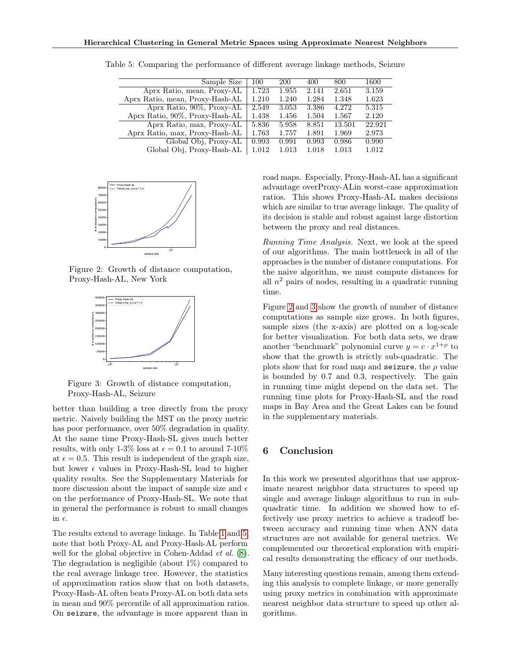| Sample Size                     | 100   | 200   | 400   | 800    | 1600   |
|---------------------------------|-------|-------|-------|--------|--------|
| Aprx Ratio, mean, Proxy-AL      | 1.723 | 1.955 | 2.141 | 2.651  | 3.159  |
| Aprx Ratio, mean, Proxy-Hash-AL | 1.210 | 1.240 | 1.284 | 1.348  | 1.623  |
| Aprx Ratio, 90%, Proxy-AL       | 2.549 | 3.053 | 3.386 | 4.272  | 5.315  |
| Aprx Ratio, 90%, Proxy-Hash-AL  | 1.438 | 1.456 | 1.504 | 1.567  | 2.120  |
| Aprx Ratio, max, Proxy-AL       | 5.836 | 5.958 | 8.851 | 13.501 | 22.921 |
| Aprx Ratio, max, Proxy-Hash-AL  | 1.763 | 1.757 | 1.891 | 1.969  | 2.973  |
| Global Obj, Proxy-AL            | 0.993 | 0.991 | 0.993 | 0.986  | 0.990  |
| Global Obj, Proxy-Hash-AL       | 1.012 | 1.013 | 1.018 | 1.013  | 1.012  |

Table 5: Comparing the performance of different average linkage methods, Seizure



Figure 2: Growth of distance computation, Proxy-Hash-AL, New York



Figure 3: Growth of distance computation, Proxy-Hash-AL, Seizure

better than building a tree directly from the proxy metric. Naively building the MST on the proxy metric has poor performance, over 50% degradation in quality. At the same time Proxy-Hash-SL gives much better results, with only 1-3% loss at  $\epsilon = 0.1$  to around 7-10% at  $\epsilon = 0.5$ . This result is independent of the graph size, but lower  $\epsilon$  values in Proxy-Hash-SL lead to higher quality results. See the Supplementary Materials for more discussion about the impact of sample size and  $\epsilon$ on the performance of Proxy-Hash-SL. We note that in general the performance is robust to small changes in  $\epsilon$ .

The results extend to average linkage. In Table  $\boxed{1}$  and  $\boxed{5}$ note that both Proxy-AL and Proxy-Hash-AL perform well for the global objective in Cohen-Addad *et al.* (8). The degradation is negligible (about 1%) compared to the real average linkage tree. However, the statistics of approximation ratios show that on both datasets, Proxy-Hash-AL often beats Proxy-AL on both data sets in mean and 90% percentile of all approximation ratios. On seizure, the advantage is more apparent than in road maps. Especially, Proxy-Hash-AL has a significant advantage overProxy-ALin worst-case approximation ratios. This shows Proxy-Hash-AL makes decisions which are similar to true average linkage. The quality of its decision is stable and robust against large distortion between the proxy and real distances.

*Running Time Analysis.* Next, we look at the speed of our algorithms. The main bottleneck in all of the approaches is the number of distance computations. For the naive algorithm, we must compute distances for all  $n^2$  pairs of nodes, resulting in a quadratic running time.

Figure  $\sqrt{2}$  and  $\sqrt{3}$  show the growth of number of distance computations as sample size grows. In both figures, sample sizes (the x-axis) are plotted on a log-scale for better visualization. For both data sets, we draw another "benchmark" polynomial curve  $y = c \cdot x^{1+\rho}$  to show that the growth is strictly sub-quadratic. The plots show that for road map and seizure, the  $\rho$  value is bounded by 0*.*7 and 0*.*3, respectively. The gain in running time might depend on the data set. The running time plots for Proxy-Hash-SL and the road maps in Bay Area and the Great Lakes can be found in the supplementary materials.

### 6 Conclusion

In this work we presented algorithms that use approximate nearest neighbor data structures to speed up single and average linkage algorithms to run in subquadratic time. In addition we showed how to effectively use proxy metrics to achieve a tradeoff between accuracy and running time when ANN data structures are not available for general metrics. We complemented our theoretical exploration with empirical results demonstrating the efficacy of our methods.

Many interesting questions remain, among them extending this analysis to complete linkage, or more generally using proxy metrics in combination with approximate nearest neighbor data structure to speed up other algorithms.